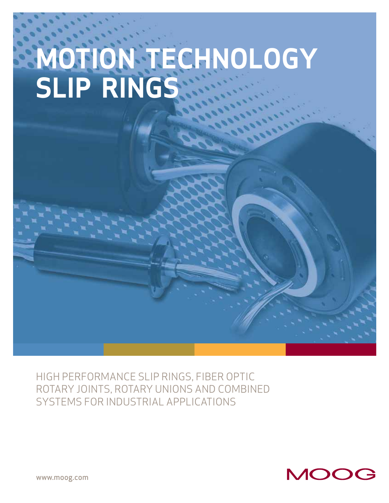# **MOTION TECHNOLOGY SLIP RINGS**

HIGH PERFORMANCE SLIP RINGS, FIBER OPTIC ROTARY JOINTS, ROTARY UNIONS AND COMBINED SYSTEMS FOR INDUSTRIAL APPLICATIONS



www.moog.com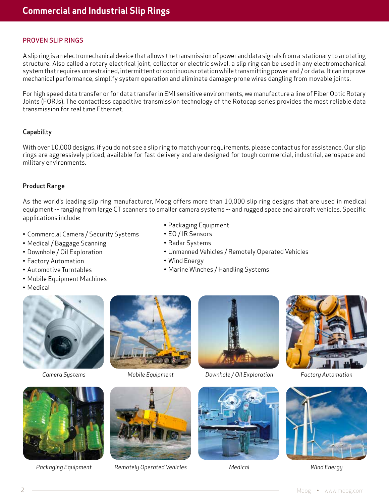#### PROVEN SLIP RINGS

A slip ring is an electromechanical device that allows the transmission of power and data signals from a stationary to a rotating structure. Also called a rotary electrical joint, collector or electric swivel, a slip ring can be used in any electromechanical system that requires unrestrained, intermittent or continuous rotation while transmitting power and / or data. It can improve mechanical performance, simplify system operation and eliminate damage-prone wires dangling from movable joints.

For high speed data transfer or for data transfer in EMI sensitive environments, we manufacture a line of Fiber Optic Rotary Joints (FORJs). The contactless capacitive transmission technology of the Rotocap series provides the most reliable data transmission for real time Ethernet.

#### Capability

With over 10,000 designs, if you do not see a slip ring to match your requirements, please contact us for assistance. Our slip rings are aggressively priced, available for fast delivery and are designed for tough commercial, industrial, aerospace and military environments.

#### Product Range

As the world's leading slip ring manufacturer, Moog offers more than 10,000 slip ring designs that are used in medical equipment -- ranging from large CT scanners to smaller camera systems -- and rugged space and aircraft vehicles. Specific applications include:

- Commercial Camera / Security Systems
- Medical / Baggage Scanning
- Downhole / Oil Exploration
- Factory Automation
- Automotive Turntables
- Mobile Equipment Machines
- Medical





*Packaging Equipment Remotely Operated Vehicles*



*Camera Systems Mobile Equipment*



*Downhole / Oil Exploration Factory Automation*







*Medical Wind Energy*

- Packaging Equipment
- EO / IR Sensors
- Radar Systems
- Unmanned Vehicles / Remotely Operated Vehicles
- Wind Energy
- Marine Winches / Handling Systems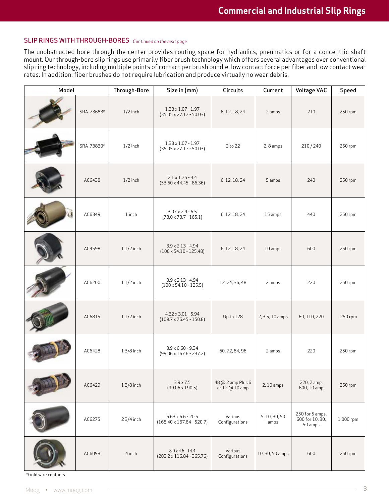#### SLIP RINGS WITH THROUGH-BORES *Continued on the next page*

The unobstructed bore through the center provides routing space for hydraulics, pneumatics or for a concentric shaft mount. Our through-bore slip rings use primarily fiber brush technology which offers several advantages over conventional slip ring technology, including multiple points of contact per brush bundle, low contact force per fiber and low contact wear rates. In addition, fiber brushes do not require lubrication and produce virtually no wear debris.

| Model |            | Through-Bore | Size in (mm)                                                 | Circuits                            | Current               | Voltage VAC                                   | Speed     |
|-------|------------|--------------|--------------------------------------------------------------|-------------------------------------|-----------------------|-----------------------------------------------|-----------|
|       | SRA-73683* | $1/2$ inch   | $1.38 \times 1.07 - 1.97$<br>$(35.05 \times 27.17 - 50.03)$  | 6, 12, 18, 24                       | 2 amps                | 210                                           | 250 rpm   |
|       | SRA-73830* | $1/2$ inch   | $1.38 \times 1.07 - 1.97$<br>$(35.05 \times 27.17 - 50.03)$  | 2 to 22<br>2,8 amps                 |                       | 210/240                                       | 250 rpm   |
|       | AC6438     | $1/2$ inch   | $2.1 \times 1.75 - 3.4$<br>$(53.60 \times 44.45 - 86.36)$    | 6, 12, 18, 24<br>5 amps             |                       | 240                                           | 250 rpm   |
|       | AC6349     | 1 inch       | $3.07 \times 2.9 - 6.5$<br>$(78.0 \times 73.7 - 165.1)$      | 6, 12, 18, 24                       | 15 amps               | 440                                           | 250 rpm   |
|       | AC4598     | $11/2$ inch  | $3.9 \times 2.13 - 4.94$<br>$(100 \times 54.10 - 125.48)$    | 6, 12, 18, 24                       | 10 amps               | 600                                           | 250 rpm   |
|       | AC6200     | $11/2$ inch  | $3.9 \times 2.13 - 4.94$<br>$(100 \times 54.10 - 125.5)$     | 12, 24, 36, 48                      | 2 amps                | 220                                           | 250 rpm   |
|       | AC6815     | $11/2$ inch  | $4.32 \times 3.01 - 5.94$<br>$(109.7 \times 76.45 - 150.8)$  | Up to 128                           | 2, 3.5, 10 amps       | 60, 110, 220                                  | 250 rpm   |
|       | AC6428     | $13/8$ inch  | $3.9 \times 6.60 - 9.34$<br>$(99.06 \times 167.6 - 237.2)$   | 60, 72, 84, 96                      | 2 amps                | 220                                           | 250 rpm   |
|       | AC6429     | $13/8$ inch  | $3.9 \times 7.5$<br>$(99.06 \times 190.5)$                   | 48 @ 2 amp Plus 6<br>or $12@10$ amp | 2,10 amps             | 220, 2 amp,<br>600, 10 amp                    | 250 rpm   |
|       | AC6275     | $23/4$ inch  | $6.63 \times 6.6 - 20.5$<br>$(168.40 \times 167.64 - 520.7)$ | Various<br>Configurations           | 5, 10, 30, 50<br>amps | 250 for 5 amps,<br>600 for 10, 30,<br>50 amps | 1,000 rpm |
|       | AC6098     | 4 inch       | $8.0 \times 4.6 - 14.4$<br>$(203.2 \times 116.84 - 365.76)$  | Various<br>Configurations           | 10, 30, 50 amps       | 600                                           | 250 rpm   |

\*Gold wire contacts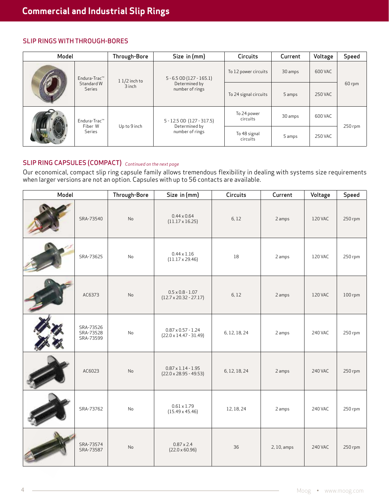#### SLIP RINGS WITH THROUGH-BORES

| Model |                         | Through-Bore   | Size in (mm)                               | <b>Circuits</b><br>Current |         | Voltage        | Speed   |  |
|-------|-------------------------|----------------|--------------------------------------------|----------------------------|---------|----------------|---------|--|
|       | Endura-Trac™            | $11/2$ inch to | $5 - 6.5$ OD (127 - 165.1)                 | To 12 power circuits       | 30 amps | 600 VAC        |         |  |
|       | Standard W<br>Series    | $3$ inch       | Determined by<br>number of rings           | To 24 signal circuits      |         | <b>250 VAC</b> | 60 rpm  |  |
|       | Endura-Trac™<br>Fiber W | Up to 9 inch   | 5 - 12.5 OD (127 - 317.5)<br>Determined by | To 24 power<br>circuits    | 30 amps | 600 VAC        | 250 rpm |  |
|       | Series                  |                | number of rings                            | To 48 signal<br>circuits   | 5 amps  | 250 VAC        |         |  |

# SLIP RING CAPSULES (COMPACT) *Continued on the next page*

Our economical, compact slip ring capsule family allows tremendous flexibility in dealing with systems size requirements when larger versions are not an option. Capsules with up to 56 contacts are available.

| Model |                                     | Through-Bore   | Size in (mm)                                               | <b>Circuits</b> | Current     | Voltage | Speed   |
|-------|-------------------------------------|----------------|------------------------------------------------------------|-----------------|-------------|---------|---------|
|       | SRA-73540                           | <b>No</b>      | $0.44 \times 0.64$<br>$(11.17 \times 16.25)$               | 6,12            | 2 amps      | 120 VAC | 250 rpm |
|       | SRA-73625                           | No             | $0.44 \times 1.16$<br>$(11.17 \times 29.46)$               | 18<br>2 amps    |             | 120 VAC | 250 rpm |
|       | AC6373                              | No             | $0.5 \times 0.8 - 1.07$<br>$(12.7 \times 20.32 - 27.17)$   | 6,12            | 2 amps      | 120 VAC | 100 rpm |
|       | SRA-73526<br>SRA-73528<br>SRA-73599 | No             | $0.87 \times 0.57 - 1.24$<br>$(22.0 \times 14.47 - 31.49)$ | 6, 12, 18, 24   | 2 amps      | 240 VAC | 250 rpm |
|       | AC6023                              | No             | $0.87 \times 1.14 - 1.95$<br>$(22.0 \times 28.95 - 49.53)$ | 6, 12, 18, 24   | 2 amps      | 240 VAC | 250 rpm |
|       | SRA-73762                           | N <sub>o</sub> | $0.61 \times 1.79$<br>$(15.49 \times 45.46)$               | 12, 18, 24      | 2 amps      | 240 VAC | 250 rpm |
|       | SRA-73574<br>SRA-73587              | <b>No</b>      | $0.87 \times 2.4$<br>$(22.0 \times 60.96)$                 | 36              | 2, 10, amps | 240 VAC | 250 rpm |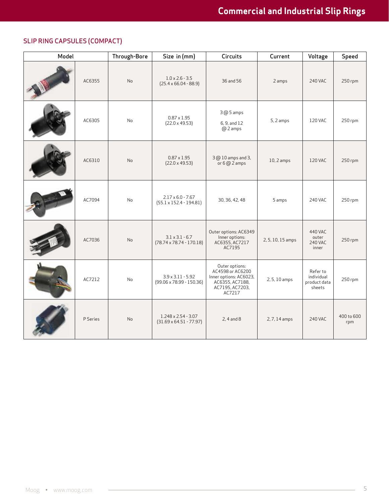# SLIP RING CAPSULES (COMPACT)

| Model |          | Through-Bore   | Size in (mm)                                                  | Circuits                                                                                                     | Current           | Voltage                                          | Speed             |
|-------|----------|----------------|---------------------------------------------------------------|--------------------------------------------------------------------------------------------------------------|-------------------|--------------------------------------------------|-------------------|
|       | AC6355   | <b>No</b>      | $1.0 \times 2.6 - 3.5$<br>$(25.4 \times 66.04 - 88.9)$        | 36 and 56                                                                                                    | 2 amps            | <b>240 VAC</b>                                   | 250 rpm           |
|       | AC6305   | No             | $0.87 \times 1.95$<br>$(22.0 \times 49.53)$                   | 3 @ 5 amps<br>5, 2 amps<br>6, 9, and 12<br>@ 2 amps                                                          |                   | 120 VAC                                          | 250 rpm           |
|       | AC6310   | N <sub>o</sub> | $0.87 \times 1.95$<br>$(22.0 \times 49.53)$                   | 3 @ 10 amps and 3,<br>or $6@2$ amps                                                                          | $10, 2$ amps      | 120 VAC                                          | 250 rpm           |
|       | AC7094   | <b>No</b>      | $2.17 \times 6.0 - 7.67$<br>$(55.1 \times 152.4 - 194.81)$    | 30, 36, 42, 48                                                                                               | 5 amps            | 240 VAC                                          | 250 rpm           |
|       | AC7036   | <b>No</b>      | $3.1 \times 3.1 - 6.7$<br>$(78.74 \times 78.74 \cdot 170.18)$ | Outer options: AC6349<br>Inner options:<br>AC6355, AC7217<br>AC7195                                          | 2, 5, 10, 15 amps | 440 VAC<br>outer<br><b>240 VAC</b><br>inner      | 250 rpm           |
|       | AC7212   | No             | $3.9 \times 3.11 - 5.92$<br>$(99.06 \times 78.99 - 150.36)$   | Outer options:<br>AC4598 or AC6200<br>Inner options: AC6023,<br>AC6355, AC7188,<br>AC7195, AC7203,<br>AC7217 | 2, 5, 10 amps     | Refer to<br>individual<br>product data<br>sheets | 250 rpm           |
|       | P Series | N <sub>o</sub> | $1.248 \times 2.54 - 3.07$<br>$(31.69 \times 64.51 - 77.97)$  | $2, 4$ and $8$                                                                                               | 2, 7, 14 amps     | <b>240 VAC</b>                                   | 400 to 600<br>rpm |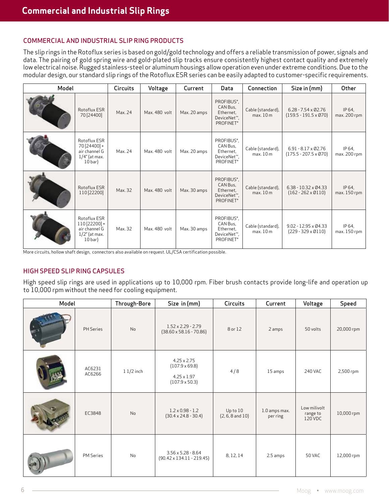# COMMERCIAL AND INDUSTRIAL SLIP RING PRODUCTS

The slip rings in the Rotoflux series is based on gold/gold technology and offers a reliable transmission of power, signals and data. The pairing of gold spring wire and gold-plated slip tracks ensure consistently highest contact quality and extremely low electrical noise. Rugged stainless-steel or aluminum housings allow operation even under extreme conditions. Due to the modular design, our standard slip rings of the Rotoflux ESR series can be easily adapted to customer-specific requirements.

| Model |                                                                                   | <b>Circuits</b> | Voltage       | Current      | Data                                                                                                  | Connection                     | Size in (mm)                                               | <b>Other</b>           |
|-------|-----------------------------------------------------------------------------------|-----------------|---------------|--------------|-------------------------------------------------------------------------------------------------------|--------------------------------|------------------------------------------------------------|------------------------|
|       | Rotoflux ESR<br>70 [24400]                                                        | Max. 24         | Max. 480 volt | Max. 20 amps | PROFIBUS <sup>®</sup> .<br>CAN Bus.<br>Ethernet,<br>DeviceNet <sup>™</sup> ,<br>PROFINET <sup>®</sup> | Cable (standard),<br>max. 10 m | $6.28 - 7.54 \times 02.76$<br>$(159.5 - 191.5 \times 070)$ | IP 64.<br>max. 200 rpm |
|       | Rotoflux ESR<br>70 [24400] +<br>air channel G<br>$1/4$ " (at max.<br>$10bar$ )    | Max. 24         | Max. 480 volt | Max. 20 amps | PROFIBUS <sup>®</sup> ,<br>CAN Bus.<br>Ethernet.<br>DeviceNet <sup>™</sup> ,<br>PROFINET <sup>®</sup> | Cable (standard),<br>max.10 m  | $6.91 - 8.17 \times 02.76$<br>$(175.5 - 207.5 \times 070)$ | IP 64.<br>max. 200 rpm |
|       | Rotoflux ESR<br>110 [22200]                                                       | Max. 32         | Max. 480 volt | Max. 30 amps | PROFIBUS <sup>®</sup> .<br>CAN Bus.<br>Ethernet,<br>DeviceNet <sup>™</sup> ,<br>PROFINET <sup>®</sup> | Cable (standard),<br>max.10 m  | $6.38 - 10.32 \times 04.33$<br>$(162 - 262 \times 0110)$   | IP 64.<br>max. 150 rpm |
|       | Rotoflux ESR<br>$110$ [22200] +<br>air channel G<br>$1/2$ " (at max.<br>$10bar$ ) | Max. 32         | Max. 480 volt | Max. 30 amps | PROFIBUS",<br>CAN Bus.<br>Ethernet.<br>DeviceNet <sup>™</sup> ,<br>PROFINET <sup>®</sup>              | Cable (standard),<br>max.10 m  | $9.02 - 12.95 \times 04.33$<br>$(229 - 329 \times 0110)$   | IP 64.<br>max. 150 rpm |

More circuits, hollow shaft design, connectors also available on request. UL/CSA certification possible.

# HIGH SPEED SLIP RING CAPSULES

High speed slip rings are used in applications up to 10,000 rpm. Fiber brush contacts provide long-life and operation up to 10,000 rpm without the need for cooling equipment.

| Model |                  | Through-Bore | Size in (mm)                                                                               | Circuits                         | Current                   | Voltage                             | Speed      |
|-------|------------------|--------------|--------------------------------------------------------------------------------------------|----------------------------------|---------------------------|-------------------------------------|------------|
|       | PH Series        | No           | $1.52 \times 2.29 - 2.79$<br>$(38.60 \times 58.16 - 70.86)$                                | 8 or 12                          | 2 amps                    | 50 volts                            | 20,000 rpm |
|       | AC6231<br>AC6266 | $11/2$ inch  | $4.25 \times 2.75$<br>$(107.9 \times 69.8)$<br>$4.25 \times 1.97$<br>$(107.9 \times 50.3)$ | 4/8                              | 15 amps                   | 240 VAC                             | 2,500 rpm  |
|       | EC3848           | No           | $1.2 \times 0.98 - 1.2$<br>$(30.4 \times 24.8 - 30.4)$                                     | Up to 10<br>$(2, 6, 8$ and $10)$ | 1.0 amps max.<br>per ring | Low milivolt<br>range to<br>120 VDC | 10,000 rpm |
|       | <b>PM Series</b> | No           | $3.56 \times 5.28 - 8.64$<br>$(90.42 \times 134.11 - 219.45)$                              | 8, 12, 14                        | 2.5 amps                  | 50 VAC                              | 12,000 rpm |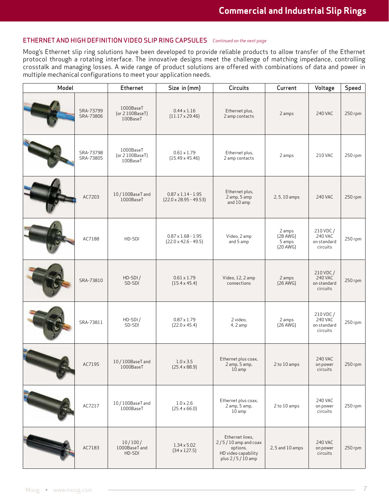#### ETHERNET AND HIGH DEFINITION VIDEO SLIP RING CAPSULES *Continued on the next page*

Moog's Ethernet slip ring solutions have been developed to provide reliable products to allow transfer of the Ethernet protocol through a rotating interface. The innovative designs meet the challenge of matching impedance, controlling crosstalk and managing losses. A wide range of product solutions are offered with combinations of data and power in multiple mechanical configurations to meet your application needs.

| Model |                        | Ethernet                                   | Size in (mm)                                               | <b>Circuits</b>                                                                                  | Current                                    | Voltage                                         | Speed   |
|-------|------------------------|--------------------------------------------|------------------------------------------------------------|--------------------------------------------------------------------------------------------------|--------------------------------------------|-------------------------------------------------|---------|
|       | SRA-73799<br>SRA-73806 | 1000BaseT<br>(or $2100BaseT$ )<br>100BaseT | $0.44 \times 1.16$<br>$(11.17 \times 29.46)$               | Ethernet plus,<br>2 amps<br>2 amp contacts                                                       |                                            | <b>240 VAC</b>                                  | 250 rpm |
|       | SRA-73798<br>SRA-73805 | 1000BaseT<br>(or $2100Base$ T)<br>100BaseT | $0.61 \times 1.79$<br>$(15.49 \times 45.46)$               | Ethernet plus,<br>2 amps<br>2 amp contacts                                                       |                                            | 210 VAC                                         | 250 rpm |
|       | AC7203                 | 10/100BaseT and<br>1000BaseT               | $0.87 \times 1.14 - 1.95$<br>$(22.0 \times 28.95 - 49.53)$ | Ethernet plus,<br>2 amp, 5 amp<br>2, 5, 10 amps<br>and 10 amp                                    |                                            | <b>240 VAC</b>                                  | 250 rpm |
|       | AC7188                 | HD-SDI                                     | $0.87 \times 1.68 - 1.95$<br>$(22.0 \times 42.6 - 49.5)$   | Video, 2 amp<br>and 5 amp                                                                        | 2 amps<br>$(28$ AWG)<br>5 amps<br>(20 AWG) | 210 VDC /<br>240 VAC<br>on standard<br>circuits | 250 rpm |
|       | SRA-73810              | HD-SDI/<br>SD-SDI                          | $0.61 \times 1.79$<br>$(15.4 \times 45.4)$                 | Video, 12, 2 amp<br>connections                                                                  | 2 amps<br>$(26$ AWG)                       | 210 VDC /<br>240 VAC<br>on standard<br>circuits | 250 rpm |
|       | SRA-73811              | $HD-SDI/$<br>SD-SDI                        | $0.87 \times 1.79$<br>$(22.0 \times 45.4)$                 | 2 video.<br>4, 2 amp                                                                             | 2 amps<br>$(26$ AWG)                       | 210 VDC /<br>240 VAC<br>on standard<br>circuits | 250 rpm |
|       | AC7195                 | 10/100BaseT and<br>1000BaseT               | $1.0 \times 3.5$<br>$(25.4 \times 88.9)$                   | Ethernet plus coax,<br>2 amp, 5 amp,<br>10 amp                                                   | 2 to 10 amps                               | <b>240 VAC</b><br>on power<br>circuits          | 250 rpm |
|       | AC7217                 | 10/100BaseT and<br>1000BaseT               | $1.0 \times 2.6$<br>$(25.4 \times 66.0)$                   | Ethernet plus coax,<br>2 amp, 5 amp,<br>10 <sub>amp</sub>                                        | 2 to 10 amps                               | 240 VAC<br>on power<br>circuits                 | 250 rpm |
|       | AC7183                 | 10/100/<br>1000BaseT and<br>HD-SDI         | $1.34 \times 5.02$<br>$(34 \times 127.5)$                  | Ethernet lines,<br>$2/5/10$ amp and coax<br>options.<br>HD video capability<br>plus $2/5/10$ amp | 2, 5 and 10 amps                           | 240 VAC<br>on power<br>circuits                 | 250 rpm |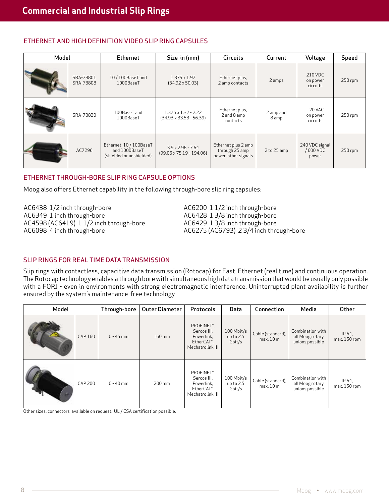# ETHERNET AND HIGH DEFINITION VIDEO SLIP RING CAPSULES

| Model |                        | <b>Ethernet</b>                                                      | Size in (mm)                                                 | <b>Circuits</b>                                               | Current            | Voltage                              | Speed     |
|-------|------------------------|----------------------------------------------------------------------|--------------------------------------------------------------|---------------------------------------------------------------|--------------------|--------------------------------------|-----------|
|       | SRA-73801<br>SRA-73808 | $10/100$ BaseT and<br>1000BaseT                                      | $1.375 \times 1.97$<br>$(34.92 \times 50.03)$                | Ethernet plus,<br>2 amp contacts                              | 2 amps             | 210 VDC<br>on power<br>circuits      | $250$ rpm |
|       | SRA-73830              | 100BaseT and<br>1000BaseT                                            | $1.375 \times 1.32 - 2.22$<br>$(34.93 \times 33.53 - 56.39)$ | Ethernet plus,<br>2 and 8 amp<br>contacts                     | 2 amp and<br>8 amp | 120 VAC<br>on power<br>circuits      | 250 rpm   |
|       | AC7296                 | Ethernet, 10 / 100BaseT<br>and 1000BaseT<br>(shielded or unshielded) | $3.9 \times 2.96 - 7.64$<br>$(99.06 \times 75.19 - 194.06)$  | Ethernet plus 2 amp<br>through 25 amp<br>power, other signals | $2$ to $25$ amp    | 240 VDC signal<br>/ 600 VDC<br>power | 250 rpm   |

# ETHERNET THROUGH-BORE SLIP RING CAPSULE OPTIONS

Moog also offers Ethernet capability in the following through-bore slip ring capsules:

AC6438 1/2 inch through-bore AC6200 1 1/2 inch through-bore AC6349 1 inch through-bore **AC6428 1 3/8** inch through-bore AC4598 (AC6419) 1 1/2 inch through-bore AC6429 1 3/8 inch through-bore AC6098 4 inch through-bore **AC6275** (AC6793) 2 3/4 inch through-bore

# SLIP RINGS FOR REAL TIME DATA TRANSMISSION

Slip rings with contactless, capacitive data transmission (Rotocap) for Fast Ethernet (real time) and continuous operation. The Rotocap technology enables a through bore with simultaneous high data transmission that would be usually only possible with a FORJ - even in environments with strong electromagnetic interference. Uninterrupted plant availability is further ensured by the system's maintenance-free technology

| Model |         | Through-bore | <b>Outer Diameter</b> | Protocols                                                                                           | Data                                  | Connection                    | Media                                                  | Other                  |
|-------|---------|--------------|-----------------------|-----------------------------------------------------------------------------------------------------|---------------------------------------|-------------------------------|--------------------------------------------------------|------------------------|
|       | CAP 160 | $0 - 45$ mm  | 160 mm                | PROFINET <sup>®</sup> ,<br>Sercos III,<br>Powerlink,<br>EtherCAT <sup>®</sup> ,<br>Mechatrolink III | $100$ Mbit/s<br>up to $2.5$<br>Gbit/s | Cable (standard),<br>max.10 m | Combination with<br>all Moog rotary<br>unions possible | IP 64,<br>max. 150 rpm |
|       | CAP 200 | $0 - 40$ mm  | $200 \,\mathrm{mm}$   | PROFINET <sup>®</sup> ,<br>Sercos III,<br>Powerlink,<br>EtherCAT <sup>®</sup> ,<br>Mechatrolink III | 100 Mbit/s<br>up to 2.5<br>Gbit/s     | Cable (standard),<br>max.10 m | Combination with<br>all Moog rotary<br>unions possible | IP 64,<br>max. 150 rpm |

Other sizes, connectors available on request. UL / CSA certification possible.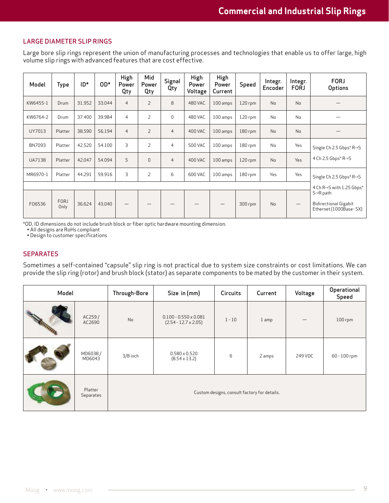#### LARGE DIAMETER SLIP RINGS

Large bore slip rings represent the union of manufacturing processes and technologies that enable us to offer large, high volume slip rings with advanced features that are cost effective.

| Model         | <b>Type</b>         | $ID*$  | OD*    | High<br>Power<br>Qty     | Mid<br>Power<br>Qty | Signal<br>Qty  | High<br>Power<br>Voltage | High<br>Power<br>Current | Speed     | Integr.<br>Encoder | Integr.<br><b>FORJ</b> | <b>FORJ</b><br>Options                                              |
|---------------|---------------------|--------|--------|--------------------------|---------------------|----------------|--------------------------|--------------------------|-----------|--------------------|------------------------|---------------------------------------------------------------------|
| KW6455-1      | Drum                | 31.952 | 33.044 | $\overline{4}$           | $\overline{2}$      | 8              | <b>480 VAC</b>           | 100 amps                 | $120$ rpm | <b>No</b>          | <b>No</b>              |                                                                     |
| KW6764-2      | Drum                | 37.400 | 39.984 | $\overline{4}$           | $\overline{2}$      | 0              | 480 VAC                  | 100 amps                 | $120$ rpm | N <sub>o</sub>     | <b>No</b>              |                                                                     |
| UY7013        | Platter             | 38.590 | 56.194 | $\overline{4}$           | $\overline{2}$      | $\overline{4}$ | <b>400 VAC</b>           | 100 amps                 | $180$ rpm | N <sub>o</sub>     | <b>No</b>              |                                                                     |
| <b>BN7093</b> | Platter             | 42.520 | 54.100 | 3                        | $\overline{2}$      | $\overline{4}$ | 500 VAC                  | 100 amps                 | $180$ rpm | N <sub>o</sub>     | Yes                    | Single Ch 2.5 Gbps* R->S                                            |
| <b>UA7138</b> | Platter             | 42.047 | 54.094 | 5                        | $\overline{0}$      | $\overline{4}$ | <b>400 VAC</b>           | 100 amps                 | $120$ rpm | <b>No</b>          | Yes                    | 4 Ch 2.5 Gbps* R->S                                                 |
| MR6970-1      | Platter             | 44.291 | 59.916 | 3                        | $\overline{2}$      | 6              | 600 VAC                  | 100 amps                 | 180 rpm   | Yes                | Yes                    | Single Ch 2.5 Gbps* R->S                                            |
|               |                     |        |        |                          |                     |                |                          |                          |           |                    |                        | 4 Ch R->S with 1.25 Gbps*                                           |
| F06536        | <b>FORJ</b><br>Only | 36.624 | 43.040 | $\overline{\phantom{m}}$ |                     |                |                          |                          | 300 rpm   | N <sub>o</sub>     |                        | S->R path<br><b>Bidirectional Gigabit</b><br>Ethernet (1000Base-SX) |

\*OD, ID dimensions do not include brush block or fiber optic hardware mounting dimension.

• All designs are RoHs compliant

• Design to customer specifications

#### **SEPARATES**

Sometimes a self-contained "capsule" slip ring is not practical due to system size constraints or cost limitations. We can provide the slip ring (rotor) and brush block (stator) as separate components to be mated by the customer in their system.

| Model |                      | Through-Bore | Size in (mm)                                                | <b>Circuits</b> | Current                                      | Voltage | Operational<br>Speed |
|-------|----------------------|--------------|-------------------------------------------------------------|-----------------|----------------------------------------------|---------|----------------------|
|       | AC259/<br>AC2690     | No           | $0.100 - 0.550 \times 0.081$<br>$(2.54 - 12.7 \times 2.05)$ | $1 - 10$        | $1$ amp                                      |         | 100 rpm              |
|       | MD6038/<br>MD6043    | $3/8$ inch   | $0.580 \times 0.520$<br>$(8.54 \times 13.2)$                | 6               | 2 amps                                       | 249 VDC | 60 - 100 rpm         |
|       | Platter<br>Separates |              |                                                             |                 | Custom designs, consult factory for details. |         |                      |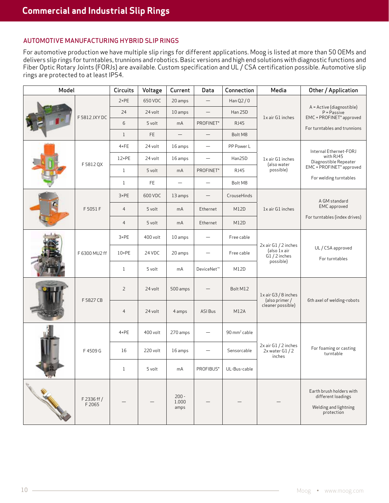# AUTOMOTIVE MANUFACTURING HYBRID SLIP RINGS

For automotive production we have multiple slip rings for different applications. Moog is listed at more than 50 OEMs and delivers slip rings for turntables, trunnions and robotics. Basic versions and high end solutions with diagnostic functions and Fiber Optic Rotary Joints (FORJs) are available. Custom specification and UL / CSA certification possible. Automotive slip rings are protected to at least IP54.

| Model |                       | Circuits       | Voltage   | Current                  | Data                     | Connection              | Media                                                 | Other / Application                                                                   |  |
|-------|-----------------------|----------------|-----------|--------------------------|--------------------------|-------------------------|-------------------------------------------------------|---------------------------------------------------------------------------------------|--|
|       |                       | $2+PE$         | 650 VDC   | 20 amps                  |                          | Han $Q2/0$              |                                                       |                                                                                       |  |
|       | F 5812 JXY DC         | 24             | 24 volt   | 10 amps                  |                          | Han 25D                 | 1x air G1 inches                                      | A = Active (diagnostible)<br>$P = Passive$<br>EMC + PROFINET® approved                |  |
|       |                       | 6              | 5 volt    | mA                       | PROFINET <sup>®</sup>    | <b>RJ45</b>             |                                                       | For turntables and trunnions                                                          |  |
|       |                       | $\mathbf{1}$   | <b>FE</b> |                          |                          | Bolt M8                 |                                                       |                                                                                       |  |
|       |                       | $4 + FE$       | 24 volt   | 16 amps                  | $\overline{\phantom{0}}$ | PP Power L              |                                                       | Internal Ethernet-FORJ                                                                |  |
|       | F 5812 QX             | 12+PE          | 24 volt   | 16 amps                  | $\overline{\phantom{0}}$ | Han25D                  | 1x air G1 inches<br>(also water                       | with RJ45<br>Diagnostible Repeater                                                    |  |
|       |                       | $\mathbf{1}$   | 5 volt    | mA                       | PROFINET <sup>®</sup>    | <b>RJ45</b>             | possible)                                             | EMC + PROFINET <sup>®</sup> approved                                                  |  |
|       |                       | $\mathbf{1}$   | FE.       |                          |                          | Bolt M8                 |                                                       | For welding turntables                                                                |  |
|       |                       | $3+PE$         | 600 VDC   | 13 amps                  |                          | CrouseHinds             |                                                       | A GM standard                                                                         |  |
|       | F5051F                | $\overline{4}$ | 5 volt    | mA                       | Ethernet                 | M12D                    | 1x air G1 inches                                      | EMC approved                                                                          |  |
|       |                       | $\overline{4}$ | 5 volt    | mA                       | Ethernet                 | M12D                    |                                                       | For turntables (index drives)                                                         |  |
|       | F 6300 MU2 ff         | $3 + PE$       | 400 volt  | 10 amps                  |                          | Free cable              |                                                       |                                                                                       |  |
|       |                       | 10+PE          | 24 VDC    | 20 amps                  |                          | Free cable              | 2x air G1 / 2 inches<br>(also 1x air<br>G1 / 2 inches | UL / CSA approved<br>For turntables                                                   |  |
|       |                       | $\mathbf{1}$   | 5 volt    | mA                       | DeviceNet™               | M12D                    | possible)                                             |                                                                                       |  |
|       | F 5827 CB             | 2              | 24 volt   | 500 amps                 |                          | Bolt M12                | 1x air G3 / 8 inches<br>(also primer /                | 6th axel of welding-robots                                                            |  |
|       |                       | $\overline{4}$ | 24 volt   | 4 amps                   | ASI Bus                  | M12A                    | cleaner possible)                                     |                                                                                       |  |
|       |                       | $4 + PE$       | 400 volt  | 270 amps                 |                          | $90 \text{ mm}^2$ cable |                                                       |                                                                                       |  |
|       | F4509G                | 16             | 220 volt  | 16 amps                  |                          | Sensorcable             | 2x air G1 / 2 inches<br>2x water G1/2<br>inches       | For foaming or casting<br>turntable                                                   |  |
|       |                       | 1              | 5 volt    | mA                       | PROFIBUS®                | UL-Bus-cable            |                                                       |                                                                                       |  |
|       | F 2336 ff /<br>F 2065 |                |           | $200 -$<br>1.000<br>amps |                          |                         |                                                       | Earth brush holders with<br>different loadings<br>Welding and lightning<br>protection |  |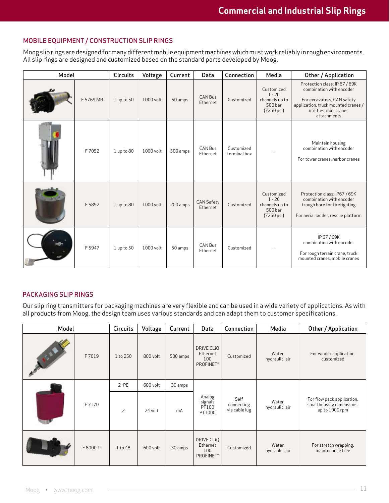# MOBILE EQUIPMENT / CONSTRUCTION SLIP RINGS

Moog slip rings are designed for many different mobile equipment machines which must work reliably in rough environments. All slip rings are designed and customized based on the standard parts developed by Moog.

| Model |           | Circuits       | Voltage   | Current  | Data                          | Connection                 | Media                                                             | Other / Application                                                                                                                                                     |
|-------|-----------|----------------|-----------|----------|-------------------------------|----------------------------|-------------------------------------------------------------------|-------------------------------------------------------------------------------------------------------------------------------------------------------------------------|
|       | F 5769 MR | $1$ up to $50$ | 1000 volt | 50 amps  | CAN Bus<br>Ethernet           | Customized                 | Customized<br>$1 - 20$<br>channels up to<br>500 bar<br>(7250 psi) | Protection class: IP 67 / 69K<br>combination with encoder<br>For excavators, CAN safety<br>application, truck mounted cranes /<br>utilities, mini cranes<br>attachments |
|       | F7052     | $1$ up to $80$ | 1000 volt | 500 amps | CAN Bus<br>Ethernet           | Customized<br>terminal box |                                                                   | Maintain housing<br>combination with encoder<br>For tower cranes, harbor cranes                                                                                         |
|       | F5892     | $1$ up to $80$ | 1000 volt | 200 amps | <b>CAN Safety</b><br>Ethernet | Customized                 | Customized<br>$1 - 20$<br>channels up to<br>500 bar<br>(7250 psi) | Protection class: IP67 / 69K<br>combination with encoder<br>trough bore for firefighting<br>For aerial ladder, rescue platform                                          |
|       | F5947     | $1$ up to $50$ | 1000 volt | 50 amps  | CAN Bus<br>Ethernet           | Customized                 |                                                                   | IP 67 / 69K<br>combination with encoder<br>For rough terrain crane, truck<br>mounted cranes, mobile cranes                                                              |

#### PACKAGING SLIP RINGS

Our slip ring transmitters for packaging machines are very flexible and can be used in a wide variety of applications. As with all products from Moog, the design team uses various standards and can adapt them to customer specifications.

| Model             |          | Circuits       | Voltage  | Current  | Data                                                   | Connection                          | Media                    | Other / Application                                                       |
|-------------------|----------|----------------|----------|----------|--------------------------------------------------------|-------------------------------------|--------------------------|---------------------------------------------------------------------------|
| <b>CONTRACTOR</b> | F7019    | 1 to 250       | 800 volt | 500 amps | DRIVE CLIQ<br>Ethernet<br>100<br>PROFINET <sup>®</sup> | Customized                          | Water,<br>hydraulic, air | For winder application,<br>customized                                     |
|                   |          | $2+PE$         | 600 volt | 30 amps  |                                                        |                                     |                          |                                                                           |
|                   | F7170    | $\overline{2}$ | 24 volt  | mA       | Analog<br>signals<br>PT100<br>PT1000                   | Self<br>connecting<br>via cable lug | Water,<br>hydraulic, air | For flow pack application,<br>small housing dimensions,<br>up to 1000 rpm |
|                   | F8000 ff | 1 to 48        | 600 volt | 30 amps  | DRIVE CLIQ<br>Ethernet<br>100<br>PROFINET <sup>®</sup> | Customized                          | Water,<br>hydraulic, air | For stretch wrapping,<br>maintenance free                                 |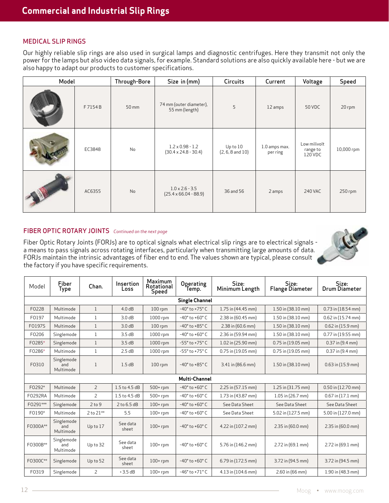# MEDICAL SLIP RINGS

Our highly reliable slip rings are also used in surgical lamps and diagnostic centrifuges. Here they transmit not only the power for the lamps but also video data signals, for example. Standard solutions are also quickly available here - but we are also happy to adapt our products to customer specifications.

| Model |          | Through-Bore | Size in (mm)                                           | <b>Circuits</b>                  | Current                   | Voltage                             | Speed      |
|-------|----------|--------------|--------------------------------------------------------|----------------------------------|---------------------------|-------------------------------------|------------|
|       | F 7154 B | 50 mm        | 74 mm (outer diameter),<br>55 mm (length)              | 5                                | 12 amps                   | 50 VDC                              | 20 rpm     |
|       | EC3848   | No           | $1.2 \times 0.98 - 1.2$<br>$(30.4 \times 24.8 - 30.4)$ | Up to 10<br>$(2, 6, 8$ and $10)$ | 1.0 amps max.<br>per ring | Low milivolt<br>range to<br>120 VDC | 10,000 rpm |
|       | AC6355   | No           | $1.0 \times 2.6 - 3.5$<br>$(25.4 \times 66.04 - 88.9)$ | 36 and 56                        | 2 amps                    | 240 VAC                             | $250$ rpm  |

#### FIBER OPTIC ROTARY JOINTS *Continued on the next page*

Fiber Optic Rotary Joints (FORJs) are to optical signals what electrical slip rings are to electrical signals a means to pass signals across rotating interfaces, particularly when transmitting large amounts of data. FORJs maintain the intrinsic advantages of fiber end to end. The values shown are typical, please consult the factory if you have specific requirements.



| Model    | Fiber<br>Type                  | Chan.          | Insertion<br>Loss | Maximum<br>Rotational<br>Speed | Operating<br>Temp.               | Size:<br>Minimum Length | Size:<br><b>Flange Diameter</b> | Size:<br>Drum Diameter |
|----------|--------------------------------|----------------|-------------------|--------------------------------|----------------------------------|-------------------------|---------------------------------|------------------------|
|          |                                |                |                   |                                | <b>Single Channel</b>            |                         |                                 |                        |
| F0228    | Multimode                      | $\mathbf{1}$   | 4.0dB             | $100$ rpm                      | $-40^{\circ}$ to $+75^{\circ}$ C | 1.75 in (44.45 mm)      | 1.50 in (38.10 mm)              | $0.73$ in (18.54 mm)   |
| F0197    | Multimode                      | $\mathbf{1}$   | 3.0dB             | 1000 rpm                       | $-40^{\circ}$ to $+60^{\circ}$ C | 2.38 in (60.45 mm)      | 1.50 in (38.10 mm)              | $0.62$ in (15.74 mm)   |
| F0197S   | Multimode                      | $\mathbf{1}$   | 3.0dB             | $100$ rpm                      | $-40^{\circ}$ to $+85^{\circ}$ C | 2.38 in (60.6 mm)       | 1.50 in (38.10 mm)              | $0.62$ in (15.9 mm)    |
| F0206    | Singlemode                     | $\mathbf{1}$   | 3.5dB             | 1000 rpm                       | $-40^{\circ}$ to $+60^{\circ}$ C | 2.36 in (59.94 mm)      | 1.50 in (38.10 mm)              | 0.77 in (19.55 mm)     |
| F0285*   | Singlemode                     | $\mathbf{1}$   | 3.5dB             | 1000 rpm                       | $-55^{\circ}$ to $+75^{\circ}$ C | 1.02 in (25.90 mm)      | 0.75 in (19.05 mm)              | $0.37$ in (9.4 mm)     |
| F0286*   | Multimode                      | $\mathbf{1}$   | 2.5dB             | 1000 rpm                       | $-55^\circ$ to $+75^\circ$ C     | 0.75 in (19.05 mm)      | $0.75$ in (19.05 mm)            | $0.37$ in $(9.4$ mm)   |
| F0310    | Singlemode<br>and<br>Multimode | 1              | 1.5dB             | $100$ rpm                      | $-40^{\circ}$ to $+85^{\circ}$ C | 3.41 in (86.6 mm)       | 1.50 in (38.10 mm)              | $0.63$ in (15.9 mm)    |
|          |                                |                |                   |                                | <b>Multi-Channel</b>             |                         |                                 |                        |
| F0292*   | Multimode                      | $\overline{2}$ | 1.5 to 4.5 dB     | $500+$ rpm                     | $-40^{\circ}$ to $+60^{\circ}$ C | 2.25 in (57.15 mm)      | 1.25 in (31.75 mm)              | $0.50$ in (12.70 mm)   |
| F0292RA  | Multimode                      | $\overline{2}$ | 1.5 to 4.5 dB     | $500+$ rpm                     | $-40^{\circ}$ to $+60^{\circ}$ C | 1.73 in (43.87 mm)      | 1.05 in (26.7 mm)               | $0.67$ in $(17.1$ mm)  |
| F0291*** | Singlemode                     | 2 to 9         | 2 to 6.5 dB       | $100+$ rpm                     | $-40^{\circ}$ to $+60^{\circ}$ C | See Data Sheet          | See Data Sheet                  | See Data Sheet         |
| F0190*   | Multimode                      | 2 to 21**      | 5.5               | $100+$ rpm                     | $-40^{\circ}$ to $+60^{\circ}$ C | See Data Sheet          | 5.02 in (127.5 mm)              | 5.00 in (127.0 mm)     |
| F0300A** | Singlemode<br>and<br>Multimode | Up to 17       | See data<br>sheet | $100+$ rpm                     | $-40^{\circ}$ to $+60^{\circ}$ C | 4.22 in (107.2 mm)      | $2.35$ in (60.0 mm)             | $2.35$ in (60.0 mm)    |
| F0300B** | Singlemode<br>and<br>Multimode | Up to 32       | See data<br>sheet | $100+$ rpm                     | $-40^{\circ}$ to $+60^{\circ}$ C | 5.76 in (146.2 mm)      | 2.72 in (69.1 mm)               | 2.72 in (69.1 mm)      |
| F0300C** | Singlemode                     | Up to 52       | See data<br>sheet | $100+$ rpm                     | $-40^{\circ}$ to $+60^{\circ}$ C | 6.79 in (172.5 mm)      | 3.72 in (94.5 mm)               | 3.72 in (94.5 mm)      |
| F0319    | Singlemode                     | 2              | $\leq$ 3.5 dB     | $100+$ rpm                     | $-46°$ to $+71°$ C               | 4.13 in (104.6 mm)      | 2.60 in (66 mm)                 | 1.90 in (48.3 mm)      |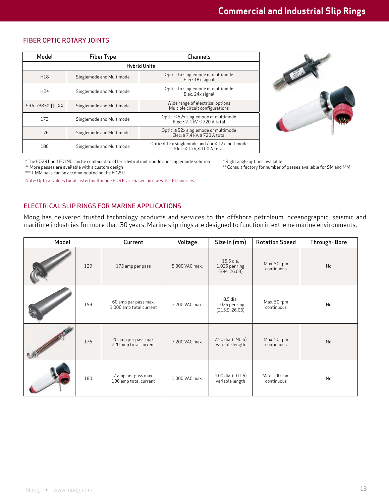#### Model Fiber Type Channels Hybrid Units H18 Singlemode and Multimode **Consumersity** Optic: 1x singlemode or multimode Elec: 18x signal H24 Singlemode and Multimode Singlemode or multimode Class 24x singlemode or multimode Elec: 24x signal SRA-73830-[]-JXX Singlemode and Multimode SRA-73830-[]-JXX Singlemode and Multimode Multiple circuit configurations <sup>173</sup> Singlemode and Multimode Optic: ≤ 52x singlemode or multimode Elec: ≤7.4 kV, ≤ 720 A total 176 Singlemode and Multimode | Optic: ≤ 52x singlemode or multimode | Optic: ≤ 52x singlemode or multimode Elec: ≤ 7.4 kV, ≤ 720 A total 180 Singlemode and Multimode | Optic: ≤ 12x singlemode and / or ≤ 12x multimode Elec: ≤ 1 kV, ≤ 100 A total



\* The FO291 and FO190 can be combined to offer a hybrid multimode and singlemode solution \* Right angle options available

\*\* More passes are available with a custom design \*\* Consult factory for number of passes available for SM and MM

FIBER OPTIC ROTARY JOINTS

\*\*\* 1 MM pass can be accommodated on the FO291

Note: Optical values for all listed multimode FORJs are based on use with LED sources.

# ELECTRICAL SLIP RINGS FOR MARINE APPLICATIONS

Moog has delivered trusted technology products and services to the offshore petroleum, oceanographic, seismic and maritime industries for more than 30 years. Marine slip rings are designed to function in extreme marine environments.

| Model |     | Current                                         | Voltage        | Size in (mm)                                 | <b>Rotation Speed</b>      | Through-Bore |
|-------|-----|-------------------------------------------------|----------------|----------------------------------------------|----------------------------|--------------|
|       | 129 | 175 amp per pass                                | 5,000 VAC max. | 15.5 dia.<br>1.025 per ring<br>(394, 26.03)  |                            | <b>No</b>    |
|       | 159 | 60 amp per pass max.<br>1,000 amp total current | 7,200 VAC max. | 8.5 dia.<br>1.025 per ring<br>(215.9, 26.03) | Max. 50 rpm<br>continuous  | No           |
|       | 176 | 20 amp per pass max.<br>720 amp total current   | 7,200 VAC max. | 7.50 dia. (190.6)<br>variable length         | Max. 50 rpm<br>continuous  | <b>No</b>    |
|       | 180 | 7 amp per pass max.<br>100 amp total current    | 1,000 VAC max. | 4.00 dia. (101.6)<br>variable length         | Max. 100 rpm<br>continuous | No           |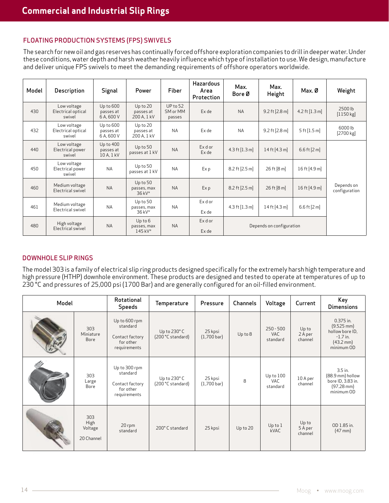# FLOATING PRODUCTION SYSTEMS (FPS) SWIVELS

The search for new oil and gas reserves has continually forced offshore exploration companies to drill in deeper water. Under these conditions, water depth and harsh weather heavily influence which type of installation to use. We design, manufacture and deliver unique FPS swivels to meet the demanding requirements of offshore operators worldwide.

| Model | Description                                 | Signal                                 | Power                                | Fiber                            | <b>Hazardous</b><br>Area<br>Protection | Max.<br>Bore Ø           | Max.<br>Height            | Max. Ø                   | Weight                      |
|-------|---------------------------------------------|----------------------------------------|--------------------------------------|----------------------------------|----------------------------------------|--------------------------|---------------------------|--------------------------|-----------------------------|
| 430   | Low voltage<br>Electrical optical<br>swivel | Up to 600<br>passes at<br>6 A, 600 V   | Up to 20<br>passes at<br>200 A, 1 kV | $UP$ to 52<br>SM or MM<br>passes | Ex de                                  | <b>NA</b>                | 9.2 ft [2.8 m]            | 4.2 ft $[1.3 \text{ m}]$ | 2500 lb<br>$[1150$ kg       |
| 432   | Low voltage<br>Electrical optical<br>swivel | Up to 600<br>passes at<br>6 A, 600 V   | Up to 20<br>passes at<br>200 A, 1 kV | <b>NA</b>                        | Ex de                                  | <b>NA</b>                | 9.2 ft [2.8 m]            | 5 ft $[1.5 \text{ m}]$   | 6000 lb<br>[2700 kg]        |
| 440   | Low voltage<br>Electrical power<br>swivel   | Up to $400$<br>passes at<br>10 A, 1 kV | Up to $50$<br>passes at 1 kV         | <b>NA</b>                        | Exdor<br>Ex de                         | 4.3 ft $[1.3 \text{ m}]$ | 14 ft [4.3 m]             | 6.6 ft $[2 \, \text{m}]$ |                             |
| 450   | Low voltage<br>Electrical power<br>swivel   | <b>NA</b>                              | Up to 50<br>passes at 1 kV           | <b>NA</b>                        | Exp                                    | $8.2$ ft [2.5 m]         | $26$ ft $[8 \, \text{m}]$ | 16 ft [4.9 m]            |                             |
| 460   | Medium voltage<br>Electrical swivel         | <b>NA</b>                              | Up to 50<br>passes, max<br>$36$ kV*  | <b>NA</b>                        | Ex p                                   | $8.2$ ft [2.5 m]         | $26$ ft $[8$ m            | 16 ft [4.9 m]            | Depends on<br>configuration |
| 461   | Medium voltage<br>Electrical swivel         | <b>NA</b>                              | Up to $50$<br>passes, max<br>36 kV*  | <b>NA</b>                        | Exdor<br>Ex de                         | 4.3 ft $[1.3 \text{ m}]$ | 14 ft [4.3 m]             | 6.6 ft $[2 \, \text{m}]$ |                             |
| 480   | High voltage<br>Electrical swivel           | <b>NA</b>                              | Up to 6<br>passes, max<br>145 kV*    | <b>NA</b>                        | Exdor<br>Ex de                         |                          | Depends on configuration  |                          |                             |

# DOWNHOLE SLIP RINGS

The model 303 is a family of electrical slip ring products designed specifically for the extremely harsh high temperature and high pressure (HTHP) downhole environment. These products are designed and tested to operate at temperatures of up to 230 °C and pressures of 25,000 psi (1700 Bar) and are generally configured for an oil-filled environment.

| Model |                                      | Rotational<br><b>Speeds</b>                                               | Temperature                              | Pressure                          | Channels | Voltage                         | Current                     | Key<br><b>Dimensions</b>                                                                                  |
|-------|--------------------------------------|---------------------------------------------------------------------------|------------------------------------------|-----------------------------------|----------|---------------------------------|-----------------------------|-----------------------------------------------------------------------------------------------------------|
|       | 303<br>Miniature<br>Bore             | Up to 600 rpm<br>standard<br>Contact factory<br>for other<br>requirements | Up to 230°C<br>(200 °C standard)         | 25 kpsi<br>$(1,700 \,\text{bar})$ | Up to 8  | $250 - 500$<br>VAC.<br>standard | Up to<br>2 A per<br>channel | $0.375$ in.<br>$(9.525 \text{ mm})$<br>hollow bore ID.<br>$-1.7$ in.<br>$(43.2 \text{ mm})$<br>minimum OD |
|       | 303<br>Large<br>Bore                 | Up to 300 rpm<br>standard<br>Contact factory<br>for other<br>requirements | Up to $230^\circ$ C<br>(200 °C standard) | 25 kpsi<br>$(1,700 \,\text{bar})$ | 8        | Up to 100<br>VAC.<br>standard   | 10 A per<br>channel         | 3.5 in.<br>(88.9 mm) hollow<br>bore ID, 3.83 in.<br>$(97.28 \text{ mm})$<br>minimum OD                    |
|       | 303<br>High<br>Voltage<br>20 Channel | $20$ rpm<br>standard                                                      | 200°C standard                           | 25 kpsi                           | Up to 20 | Up to 1<br>kVAC                 | Up to<br>5 A per<br>channel | OD 1.85 in.<br>$(47 \, \text{mm})$                                                                        |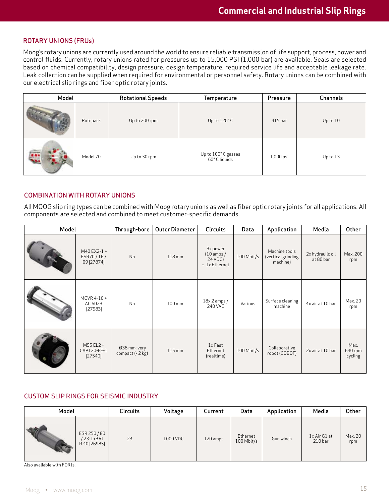#### ROTARY UNIONS (FRUs)

Moog's rotary unions are currently used around the world to ensure reliable transmission of life support, process, power and control fluids. Currently, rotary unions rated for pressures up to 15,000 PSI (1,000 bar) are available. Seals are selected based on chemical compatibility, design pressure, design temperature, required service life and acceptable leakage rate. Leak collection can be supplied when required for environmental or personnel safety. Rotary unions can be combined with our electrical slip rings and fiber optic rotary joints.

| Model |                           | <b>Rotational Speeds</b> | Temperature                          | Pressure  | Channels     |
|-------|---------------------------|--------------------------|--------------------------------------|-----------|--------------|
|       | Up to 200 rpm<br>Rotopack |                          | Up to $120^{\circ}$ C                | $415$ bar | $Up$ to $10$ |
|       | Model 70                  | Up to 30 rpm             | Up to 100° C gasses<br>60° C liquids | 1,000 psi | Up to $13$   |

#### COMBINATION WITH ROTARY UNIONS

All MOOG slip ring types can be combined with Moog rotary unions as well as fiber optic rotary joints for all applications. All components are selected and combined to meet customer-specific demands.

| Model |                                        | Through-bore                       | <b>Outer Diameter</b> | Circuits                                                    | Data       | Application                                     | Media                         | Other                      |
|-------|----------------------------------------|------------------------------------|-----------------------|-------------------------------------------------------------|------------|-------------------------------------------------|-------------------------------|----------------------------|
|       | M40 EX2-1 +<br>ESR70/16/<br>09 [27874] | No                                 | $118 \,\mathrm{mm}$   | 3x power<br>$(10 \text{ amps})$<br>24 VDC)<br>+ 1x Ethernet | 100 Mbit/s | Machine tools<br>(vertical grinding<br>machine) | 2x hydraulic oil<br>at 80 bar | Max. 200<br>rpm            |
|       | $MCVR 4-10+$<br>AC 6023<br>[27983]     | No                                 | $100 \,\mathrm{mm}$   | $18x$ 2 amps /<br>240 VAC                                   | Various    | Surface cleaning<br>machine                     | 4x air at 10 bar              | Max. 20<br>rpm             |
|       | M55 EL2 +<br>CAP120-FE-1<br>[27540]    | 038 mm; very<br>compact $(< 2 kg)$ | $115 \text{ mm}$      | 1x Fast<br>Ethernet<br>(realtime)                           | 100 Mbit/s | Collaborative<br>robot (COBOT)                  | 2x air at 10 bar              | Max.<br>640 rpm<br>cycling |

#### CUSTOM SLIP RINGS FOR SEISMIC INDUSTRY

| Model |                                          | <b>Circuits</b> | Voltage  | Current  | Data                   | Application | Media                              | Other          |
|-------|------------------------------------------|-----------------|----------|----------|------------------------|-------------|------------------------------------|----------------|
|       | ESR 250/80<br>/ 23-1+BAT<br>R.40 [26985] | 23              | 1000 VDC | 120 amps | Ethernet<br>100 Mbit/s | Gun winch   | 1x Air G1 at<br>210 <sub>bar</sub> | Max. 20<br>rpm |

Also available with FORJs.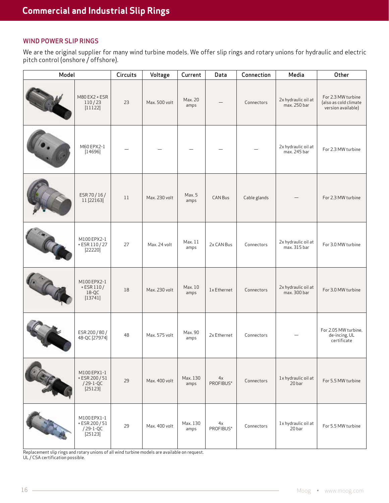# WIND POWER SLIP RINGS

We are the original supplier for many wind turbine models. We offer slip rings and rotary unions for hydraulic and electric pitch control (onshore / offshore).

| Model |                                                         | Circuits | Voltage       | Current          | Data            | Connection   | Media                               | Other                                                             |
|-------|---------------------------------------------------------|----------|---------------|------------------|-----------------|--------------|-------------------------------------|-------------------------------------------------------------------|
|       | M80 EX2 + ESR<br>110/23<br>[11122]                      | 23       | Max. 500 volt | Max. 20<br>amps  |                 | Connectors   | 2x hydraulic oil at<br>max. 250 bar | For 2.3 MW turbine<br>(also as cold climate<br>version available) |
|       | M60 EPX2-1<br>[14696]                                   |          |               |                  |                 |              | 2x hydraulic oil at<br>max. 245 bar | For 2.3 MW turbine                                                |
|       | ESR 70/16/<br>11 [22163]                                | 11       | Max. 230 volt | Max. 5<br>amps   | CAN Bus         | Cable glands |                                     | For 2.3 MW turbine                                                |
|       | M100 EPX2-1<br>+ESR 110/27<br>[22220]                   | 27       | Max. 24 volt  | Max. 11<br>amps  | 2x CAN Bus      | Connectors   | 2x hydraulic oil at<br>max. 315 bar | For 3.0 MW turbine                                                |
|       | M100 EPX2-1<br>$+$ ESR 110/<br>18-QC<br>[13741]         | 18       | Max. 230 volt | Max. 10<br>amps  | 1x Ethernet     | Connectors   | 2x hydraulic oil at<br>max. 300 bar | For 3.0 MW turbine                                                |
|       | ESR 200 / 80 /<br>48-QC [27974]                         | 48       | Max. 575 volt | Max. 90<br>amps  | 2x Ethernet     | Connectors   |                                     | For 2.05 MW turbine,<br>de-incing, UL<br>certificate              |
|       | M100 EPX1-1<br>+ESR 200 / 51<br>/29-1-QC<br>[25123]     | 29       | Max. 400 volt | Max. 130<br>amps | 4x<br>PROFIBUS® | Connectors   | 1x hydraulic oil at<br>20 bar       | For 5.5 MW turbine                                                |
|       | M100 EPX1-1<br>+ESR 200/51<br>$/29 - 1 - QC$<br>[25123] | 29       | Max. 400 volt | Max. 130<br>amps | 4x<br>PROFIBUS® | Connectors   | 1x hydraulic oil at<br>20 bar       | For 5.5 MW turbine                                                |

Replacement slip rings and rotary unions of all wind turbine models are available on request.

UL / CSA certification possible.